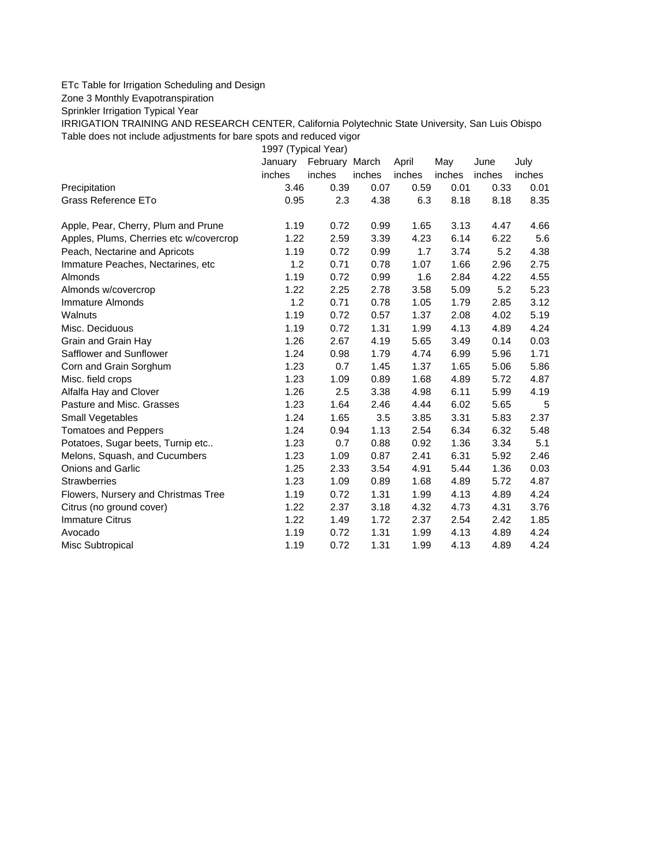## ETc Table for Irrigation Scheduling and Design

Zone 3 Monthly Evapotranspiration

Sprinkler Irrigation Typical Year

IRRIGATION TRAINING AND RESEARCH CENTER, California Polytechnic State University, San Luis Obispo Table does not include adjustments for bare spots and reduced vigor

1997 (Typical Year)

|                                         | January | February March |        | April  | May    | June   | July   |
|-----------------------------------------|---------|----------------|--------|--------|--------|--------|--------|
|                                         | inches  | inches         | inches | inches | inches | inches | inches |
| Precipitation                           | 3.46    | 0.39           | 0.07   | 0.59   | 0.01   | 0.33   | 0.01   |
| Grass Reference ETo                     | 0.95    | 2.3            | 4.38   | 6.3    | 8.18   | 8.18   | 8.35   |
| Apple, Pear, Cherry, Plum and Prune     | 1.19    | 0.72           | 0.99   | 1.65   | 3.13   | 4.47   | 4.66   |
| Apples, Plums, Cherries etc w/covercrop | 1.22    | 2.59           | 3.39   | 4.23   | 6.14   | 6.22   | 5.6    |
| Peach, Nectarine and Apricots           | 1.19    | 0.72           | 0.99   | 1.7    | 3.74   | 5.2    | 4.38   |
| Immature Peaches, Nectarines, etc       | 1.2     | 0.71           | 0.78   | 1.07   | 1.66   | 2.96   | 2.75   |
| Almonds                                 | 1.19    | 0.72           | 0.99   | 1.6    | 2.84   | 4.22   | 4.55   |
| Almonds w/covercrop                     | 1.22    | 2.25           | 2.78   | 3.58   | 5.09   | 5.2    | 5.23   |
| Immature Almonds                        | 1.2     | 0.71           | 0.78   | 1.05   | 1.79   | 2.85   | 3.12   |
| Walnuts                                 | 1.19    | 0.72           | 0.57   | 1.37   | 2.08   | 4.02   | 5.19   |
| Misc. Deciduous                         | 1.19    | 0.72           | 1.31   | 1.99   | 4.13   | 4.89   | 4.24   |
| Grain and Grain Hay                     | 1.26    | 2.67           | 4.19   | 5.65   | 3.49   | 0.14   | 0.03   |
| Safflower and Sunflower                 | 1.24    | 0.98           | 1.79   | 4.74   | 6.99   | 5.96   | 1.71   |
| Corn and Grain Sorghum                  | 1.23    | 0.7            | 1.45   | 1.37   | 1.65   | 5.06   | 5.86   |
| Misc. field crops                       | 1.23    | 1.09           | 0.89   | 1.68   | 4.89   | 5.72   | 4.87   |
| Alfalfa Hay and Clover                  | 1.26    | 2.5            | 3.38   | 4.98   | 6.11   | 5.99   | 4.19   |
| Pasture and Misc. Grasses               | 1.23    | 1.64           | 2.46   | 4.44   | 6.02   | 5.65   | 5      |
| Small Vegetables                        | 1.24    | 1.65           | 3.5    | 3.85   | 3.31   | 5.83   | 2.37   |
| <b>Tomatoes and Peppers</b>             | 1.24    | 0.94           | 1.13   | 2.54   | 6.34   | 6.32   | 5.48   |
| Potatoes, Sugar beets, Turnip etc       | 1.23    | 0.7            | 0.88   | 0.92   | 1.36   | 3.34   | 5.1    |
| Melons, Squash, and Cucumbers           | 1.23    | 1.09           | 0.87   | 2.41   | 6.31   | 5.92   | 2.46   |
| <b>Onions and Garlic</b>                | 1.25    | 2.33           | 3.54   | 4.91   | 5.44   | 1.36   | 0.03   |
| <b>Strawberries</b>                     | 1.23    | 1.09           | 0.89   | 1.68   | 4.89   | 5.72   | 4.87   |
| Flowers, Nursery and Christmas Tree     | 1.19    | 0.72           | 1.31   | 1.99   | 4.13   | 4.89   | 4.24   |
| Citrus (no ground cover)                | 1.22    | 2.37           | 3.18   | 4.32   | 4.73   | 4.31   | 3.76   |
| <b>Immature Citrus</b>                  | 1.22    | 1.49           | 1.72   | 2.37   | 2.54   | 2.42   | 1.85   |
| Avocado                                 | 1.19    | 0.72           | 1.31   | 1.99   | 4.13   | 4.89   | 4.24   |
| Misc Subtropical                        | 1.19    | 0.72           | 1.31   | 1.99   | 4.13   | 4.89   | 4.24   |